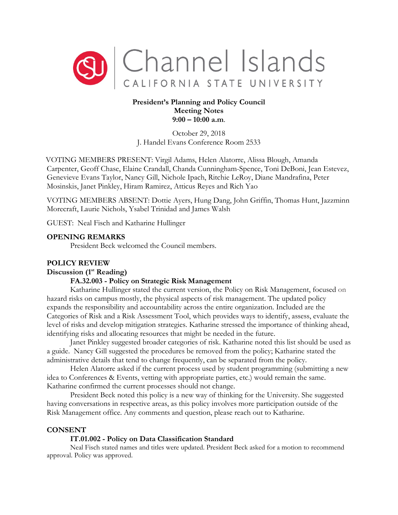

# **President's Planning and Policy Council Meeting Notes 9:00 – 10:00 a.m**.

October 29, 2018 J. Handel Evans Conference Room 2533

VOTING MEMBERS PRESENT: Virgil Adams, Helen Alatorre, Alissa Blough, Amanda Carpenter, Geoff Chase, Elaine Crandall, Chanda Cunningham-Spence, Toni DeBoni, Jean Estevez, Genevieve Evans Taylor, Nancy Gill, Nichole Ipach, Ritchie LeRoy, Diane Mandrafina, Peter Mosinskis, Janet Pinkley, Hiram Ramirez, Atticus Reyes and Rich Yao

VOTING MEMBERS ABSENT: Dottie Ayers, Hung Dang, John Griffin, Thomas Hunt, Jazzminn Morecraft, Laurie Nichols, Ysabel Trinidad and James Walsh

GUEST: Neal Fisch and Katharine Hullinger

## **OPENING REMARKS**

President Beck welcomed the Council members.

## **POLICY REVIEW**

## **Discussion (1st Reading)**

# **FA.32.003 - Policy on Strategic Risk Management**

Katharine Hullinger stated the current version, the Policy on Risk Management, focused on hazard risks on campus mostly, the physical aspects of risk management. The updated policy expands the responsibility and accountability across the entire organization. Included are the Categories of Risk and a Risk Assessment Tool, which provides ways to identify, assess, evaluate the level of risks and develop mitigation strategies. Katharine stressed the importance of thinking ahead, identifying risks and allocating resources that might be needed in the future.

Janet Pinkley suggested broader categories of risk. Katharine noted this list should be used as a guide. Nancy Gill suggested the procedures be removed from the policy; Katharine stated the administrative details that tend to change frequently, can be separated from the policy.

Helen Alatorre asked if the current process used by student programming (submitting a new idea to Conferences & Events, vetting with appropriate parties, etc.) would remain the same. Katharine confirmed the current processes should not change.

President Beck noted this policy is a new way of thinking for the University. She suggested having conversations in respective areas, as this policy involves more participation outside of the Risk Management office. Any comments and question, please reach out to Katharine.

### **CONSENT**

## **IT.01.002 - Policy on Data Classification Standard**

Neal Fisch stated names and titles were updated. President Beck asked for a motion to recommend approval. Policy was approved.